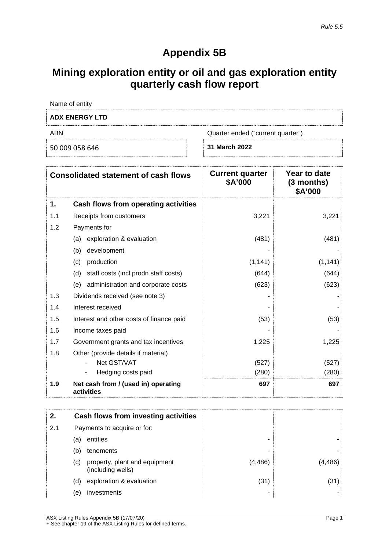# **Appendix 5B**

## **Mining exploration entity or oil and gas exploration entity quarterly cash flow report**

Name of entity

# **ADX ENERGY LTD** ABN Quarter ended ("current quarter")

50 009 058 646 **31 March 2022**

| <b>Consolidated statement of cash flows</b> |                                                   | <b>Current quarter</b><br>\$A'000 | Year to date<br>$(3$ months)<br>\$A'000 |
|---------------------------------------------|---------------------------------------------------|-----------------------------------|-----------------------------------------|
| 1.                                          | Cash flows from operating activities              |                                   |                                         |
| 1.1                                         | Receipts from customers                           | 3,221                             | 3,221                                   |
| 1.2                                         | Payments for                                      |                                   |                                         |
|                                             | exploration & evaluation<br>(a)                   | (481)                             | (481)                                   |
|                                             | (b)<br>development                                |                                   |                                         |
|                                             | production<br>(c)                                 | (1, 141)                          | (1, 141)                                |
|                                             | staff costs (incl prodn staff costs)<br>(d)       | (644)                             | (644)                                   |
|                                             | administration and corporate costs<br>(e)         | (623)                             | (623)                                   |
| 1.3                                         | Dividends received (see note 3)                   |                                   |                                         |
| 1.4                                         | Interest received                                 |                                   |                                         |
| 1.5                                         | Interest and other costs of finance paid          | (53)                              | (53)                                    |
| 1.6                                         | Income taxes paid                                 |                                   |                                         |
| 1.7                                         | Government grants and tax incentives              | 1,225                             | 1,225                                   |
| 1.8                                         | Other (provide details if material)               |                                   |                                         |
|                                             | Net GST/VAT                                       | (527)                             | (527)                                   |
|                                             | Hedging costs paid                                | (280)                             | (280)                                   |
| 1.9                                         | Net cash from / (used in) operating<br>activities | 697                               | 697                                     |

|     |                             | Cash flows from investing activities               |          |  |
|-----|-----------------------------|----------------------------------------------------|----------|--|
| 2.1 | Payments to acquire or for: |                                                    |          |  |
|     | (a)                         | entities                                           | -        |  |
|     | (b)                         | tenements                                          | ۰        |  |
|     | (c)                         | property, plant and equipment<br>(including wells) | (4, 486) |  |
|     | (d)                         | exploration & evaluation                           | (31)     |  |
|     | (e)                         | investments                                        |          |  |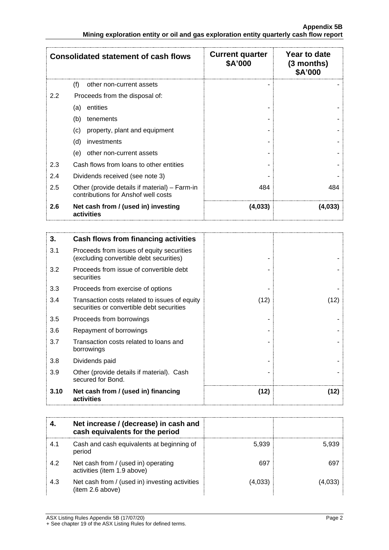| <b>Consolidated statement of cash flows</b>              |                                                                                      | <b>Current quarter</b><br>\$A'000 | Year to date<br>$(3$ months)<br>\$A'000 |
|----------------------------------------------------------|--------------------------------------------------------------------------------------|-----------------------------------|-----------------------------------------|
|                                                          | (f)<br>other non-current assets                                                      |                                   |                                         |
| 2.2                                                      | Proceeds from the disposal of:                                                       |                                   |                                         |
|                                                          | entities<br>(a)                                                                      |                                   |                                         |
|                                                          | (b)<br>tenements                                                                     |                                   |                                         |
|                                                          | property, plant and equipment<br>(c)                                                 |                                   |                                         |
|                                                          | (d)<br>investments                                                                   |                                   |                                         |
|                                                          | other non-current assets<br>(e)                                                      |                                   |                                         |
| 2.3                                                      | Cash flows from loans to other entities                                              |                                   |                                         |
| 2.4                                                      | Dividends received (see note 3)                                                      |                                   |                                         |
| 2.5                                                      | Other (provide details if material) – Farm-in<br>contributions for Anshof well costs | 484                               | 484                                     |
| Net cash from / (used in) investing<br>2.6<br>activities |                                                                                      | (4,033)                           | (4,033)                                 |

| 3.   | Cash flows from financing activities                                                       |      |      |
|------|--------------------------------------------------------------------------------------------|------|------|
| 3.1  | Proceeds from issues of equity securities<br>(excluding convertible debt securities)       |      |      |
| 3.2  | Proceeds from issue of convertible debt<br>securities                                      |      |      |
| 3.3  | Proceeds from exercise of options                                                          |      |      |
| 3.4  | Transaction costs related to issues of equity<br>securities or convertible debt securities | (12) | (12) |
| 3.5  | Proceeds from borrowings                                                                   |      |      |
| 3.6  | Repayment of borrowings                                                                    |      |      |
| 3.7  | Transaction costs related to loans and<br>borrowings                                       |      |      |
| 3.8  | Dividends paid                                                                             |      |      |
| 3.9  | Other (provide details if material). Cash<br>secured for Bond.                             |      |      |
| 3.10 | Net cash from / (used in) financing<br>activities                                          | (12) | (12) |

|     | Net increase / (decrease) in cash and<br>cash equivalents for the period |       |  |
|-----|--------------------------------------------------------------------------|-------|--|
| 4.1 | Cash and cash equivalents at beginning of<br>period                      | 5.939 |  |
| 4.2 | Net cash from / (used in) operating<br>activities (item 1.9 above)       | 697   |  |
| 4.3 | Net cash from / (used in) investing activities<br>(item 2.6 above)       | 4,033 |  |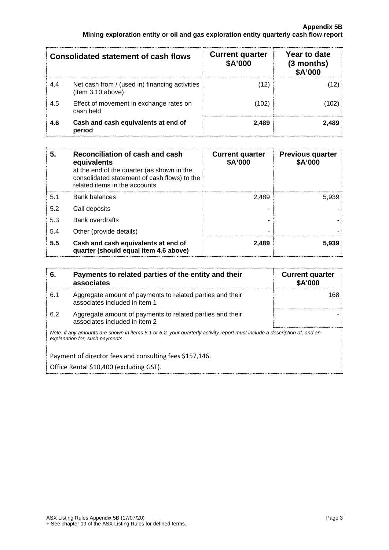| Consolidated statement of cash flows |                                                                     | <b>Current quarter</b><br>\$A'000 | Year to date<br>(3 months)<br><b>\$A'000</b> |
|--------------------------------------|---------------------------------------------------------------------|-----------------------------------|----------------------------------------------|
| 4.4                                  | Net cash from / (used in) financing activities<br>(item 3.10 above) | (12)                              |                                              |
| 4.5                                  | Effect of movement in exchange rates on<br>cash held                | (102)                             |                                              |
| 4.6                                  | Cash and cash equivalents at end of<br>period                       | 2.489                             |                                              |

| 5   | Reconciliation of cash and cash<br>equivalents<br>at the end of the quarter (as shown in the<br>consolidated statement of cash flows) to the<br>related items in the accounts | <b>Current quarter</b><br>\$A'000 | <b>Previous quarter</b><br>\$A'000 |
|-----|-------------------------------------------------------------------------------------------------------------------------------------------------------------------------------|-----------------------------------|------------------------------------|
| 5.1 | <b>Bank balances</b>                                                                                                                                                          | 2.489                             | 5.939                              |
| 5.2 | Call deposits                                                                                                                                                                 |                                   |                                    |
| 5.3 | <b>Bank overdrafts</b>                                                                                                                                                        |                                   |                                    |
| 5.4 | Other (provide details)                                                                                                                                                       |                                   |                                    |
| 5.5 | Cash and cash equivalents at end of<br>quarter (should equal item 4.6 above)                                                                                                  | 2.489                             | 5.939                              |

| 6.                                                                                                                                                          | Payments to related parties of the entity and their<br>associates                          | <b>Current quarter</b><br><b>\$A'000</b> |  |
|-------------------------------------------------------------------------------------------------------------------------------------------------------------|--------------------------------------------------------------------------------------------|------------------------------------------|--|
| 6.1                                                                                                                                                         | Aggregate amount of payments to related parties and their<br>associates included in item 1 | 168                                      |  |
| 6.2                                                                                                                                                         | Aggregate amount of payments to related parties and their<br>associates included in item 2 |                                          |  |
| Note: if any amounts are shown in items 6.1 or 6.2, your quarterly activity report must include a description of, and an<br>explanation for, such payments. |                                                                                            |                                          |  |
|                                                                                                                                                             | Payment of director fees and consulting fees \$157,146.                                    |                                          |  |
|                                                                                                                                                             | Office Rental \$10,400 (excluding GST).                                                    |                                          |  |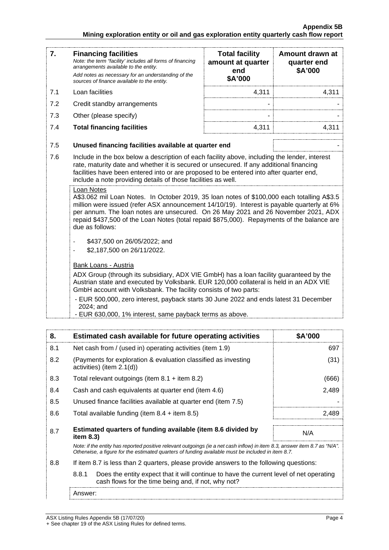| 7.                                                                                                                                                         | <b>Financing facilities</b><br>Note: the term "facility' includes all forms of financing<br>arrangements available to the entity.<br>Add notes as necessary for an understanding of the<br>sources of finance available to the entity.                                                                                                                                                                                                                                     | <b>Total facility</b><br>amount at quarter<br>end<br>\$A'000 | Amount drawn at<br>quarter end<br>\$A'000 |
|------------------------------------------------------------------------------------------------------------------------------------------------------------|----------------------------------------------------------------------------------------------------------------------------------------------------------------------------------------------------------------------------------------------------------------------------------------------------------------------------------------------------------------------------------------------------------------------------------------------------------------------------|--------------------------------------------------------------|-------------------------------------------|
| 7.1                                                                                                                                                        | Loan facilities                                                                                                                                                                                                                                                                                                                                                                                                                                                            | 4,311                                                        | 4,311                                     |
| 7.2                                                                                                                                                        | Credit standby arrangements                                                                                                                                                                                                                                                                                                                                                                                                                                                |                                                              |                                           |
| 7.3                                                                                                                                                        | Other (please specify)                                                                                                                                                                                                                                                                                                                                                                                                                                                     |                                                              |                                           |
| 7.4                                                                                                                                                        | <b>Total financing facilities</b>                                                                                                                                                                                                                                                                                                                                                                                                                                          | 4,311                                                        | 4,311                                     |
| 7.5                                                                                                                                                        | Unused financing facilities available at quarter end                                                                                                                                                                                                                                                                                                                                                                                                                       |                                                              |                                           |
| 7.6                                                                                                                                                        | Include in the box below a description of each facility above, including the lender, interest<br>rate, maturity date and whether it is secured or unsecured. If any additional financing<br>facilities have been entered into or are proposed to be entered into after quarter end,<br>include a note providing details of those facilities as well.                                                                                                                       |                                                              |                                           |
|                                                                                                                                                            | Loan Notes<br>A\$3.062 mil Loan Notes. In October 2019, 35 loan notes of \$100,000 each totalling A\$3.5<br>million were issued (refer ASX announcement 14/10/19). Interest is payable quarterly at 6%<br>per annum. The loan notes are unsecured. On 26 May 2021 and 26 November 2021, ADX<br>repaid \$437,500 of the Loan Notes (total repaid \$875,000). Repayments of the balance are<br>due as follows:<br>\$437,500 on 26/05/2022; and<br>\$2,187,500 on 26/11/2022. |                                                              |                                           |
|                                                                                                                                                            | Bank Loans - Austria<br>ADX Group (through its subsidiary, ADX VIE GmbH) has a loan facility guaranteed by the                                                                                                                                                                                                                                                                                                                                                             |                                                              |                                           |
| Austrian state and executed by Volksbank. EUR 120,000 collateral is held in an ADX VIE<br>GmbH account with Volksbank. The facility consists of two parts: |                                                                                                                                                                                                                                                                                                                                                                                                                                                                            |                                                              |                                           |
|                                                                                                                                                            | - EUR 500,000, zero interest, payback starts 30 June 2022 and ends latest 31 December<br>2024; and<br>- EUR 630,000, 1% interest, same payback terms as above.                                                                                                                                                                                                                                                                                                             |                                                              |                                           |

| 8.  | Estimated cash available for future operating activities                                                                                                                                                                        | <b>SA'000</b> |
|-----|---------------------------------------------------------------------------------------------------------------------------------------------------------------------------------------------------------------------------------|---------------|
| 8.1 | Net cash from / (used in) operating activities (item 1.9)                                                                                                                                                                       | 697           |
| 8.2 | (Payments for exploration & evaluation classified as investing<br>activities) (item $2.1(d)$ )                                                                                                                                  |               |
| 8.3 | Total relevant outgoings (item $8.1$ + item $8.2$ )                                                                                                                                                                             | (666)         |
| 8.4 | Cash and cash equivalents at quarter end (item 4.6)                                                                                                                                                                             | 2,489         |
| 8.5 | Unused finance facilities available at quarter end (item 7.5)                                                                                                                                                                   |               |
| 8.6 | Total available funding (item $8.4 +$ item $8.5$ )                                                                                                                                                                              | 2.489         |
| 8.7 | Estimated quarters of funding available (item 8.6 divided by<br>item $8.3$ )                                                                                                                                                    | N/A           |
|     | Note: if the entity has reported positive relevant outgoings (ie a net cash inflow) in item 8.3, answer item 8.7 as "N/A".<br>Otherwise, a figure for the estimated quarters of funding available must be included in item 8.7. |               |
| 8.8 | If item 8.7 is less than 2 quarters, please provide answers to the following questions:                                                                                                                                         |               |
|     | 8.8.1<br>Does the entity expect that it will continue to have the current level of net operating<br>cash flows for the time being and, if not, why not?                                                                         |               |
|     | Answer:                                                                                                                                                                                                                         |               |

ASX Listing Rules Appendix 5B (17/07/20) Page 4 + See chapter 19 of the ASX Listing Rules for defined terms.